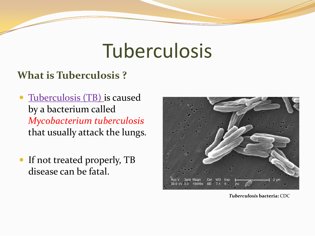# Tuberculosis

#### **What is Tuberculosis ?**

- Tuberculosis (TB) is caused by a bacterium called *Mycobacterium tuberculosis*  that usually attack the lungs.
- If not treated properly, TB disease can be fatal.



*Tuberculosis* **bacteria:** CDC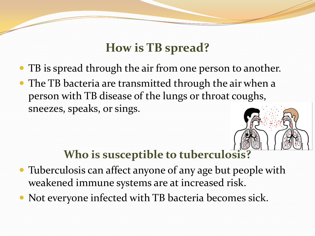### **How is TB spread?**

- TB is spread through the air from one person to another.
- The TB bacteria are transmitted through the air when a person with TB disease of the lungs or throat coughs, sneezes, speaks, or sings.

#### **Who is susceptible to tuberculosis?**

- Tuberculosis can affect anyone of any age but people with weakened immune systems are at increased risk.
- Not everyone infected with TB bacteria becomes sick.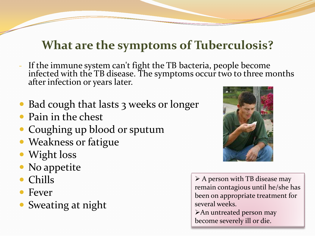### **What are the symptoms of Tuberculosis?**

- If the immune system can't fight the TB bacteria, people become infected with the TB disease. The symptoms occur two to three months after infection or years later.
- Bad cough that lasts 3 weeks or longer
- Pain in the chest
- Coughing up blood or sputum
- Weakness or fatigue
- Wight loss
- No appetite
- Chills
- Fever
- Sweating at night



 $\triangleright$  A person with TB disease may remain contagious until he/she has been on appropriate treatment for several weeks. An untreated person may become severely ill or die.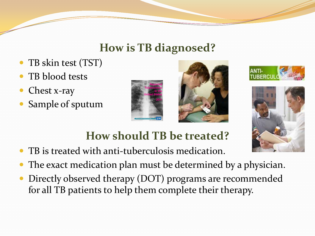#### **How is TB diagnosed?**

- TB skin test (TST)
- TB blood tests
- Chest x-ray
- Sample of sputum









# **How should TB be treated?**

- TB is treated with anti-tuberculosis medication.
- The exact medication plan must be determined by a physician.
- Directly observed therapy (DOT) programs are recommended for all TB patients to help them complete their therapy.